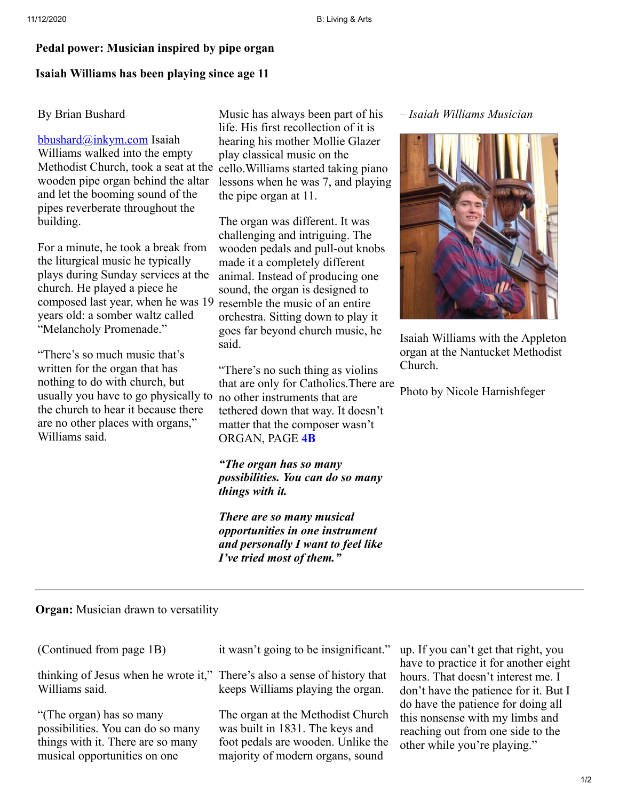## **Pedal power: Musician inspired by pipe organ**

## **Isaiah Williams has been playing since age 11**

## By Brian Bushard

 $bbushard@inkym.com$  Isaiah Williams walked into the empty Methodist Church, took a seat at the cello.Williams started taking piano wooden pipe organ behind the altar and let the booming sound of the pipes reverberate throughout the building.

For a minute, he took a break from the liturgical music he typically plays during Sunday services at the church. He played a piece he composed last year, when he was 19 resemble the music of an entire years old: a somber waltz called "Melancholy Promenade."

"There's so much music that's written for the organ that has nothing to do with church, but usually you have to go physically to the church to hear it because there are no other places with organs," Williams said.

Music has always been part of his life. His first recollection of it is hearing his mother Mollie Glazer play classical music on the lessons when he was 7, and playing the pipe organ at 11.

The organ was different. It was challenging and intriguing. The wooden pedals and pull-out knobs made it a completely different animal. Instead of producing one sound, the organ is designed to orchestra. Sitting down to play it goes far beyond church music, he said.

"There's no such thing as violins that are only for Catholics.There are no other instruments that are tethered down that way. It doesn't matter that the composer wasn't ORGAN, PAGE **[4B](javascript:gotoPage("A","B04");)**

*"The organ has so many possibilities. You can do so many things with it.*

*There are so many musical opportunities in one instrument and personally I want to feel like I've tried most of them."*

*– Isaiah Williams Musician*



Isaiah Williams with the Appleton organ at the Nantucket Methodist Church.

Photo by Nicole Harnishfeger

## **Organ:** Musician drawn to versatility

| (Continued from page 1B)                                                                                                           | it wasn't going to be insignificant."                                                                                                          | u                                            |
|------------------------------------------------------------------------------------------------------------------------------------|------------------------------------------------------------------------------------------------------------------------------------------------|----------------------------------------------|
| thinking of Jesus when he wrote it," There's also a sense of history that<br>Williams said.                                        | keeps Williams playing the organ.                                                                                                              | h:<br>$\mathbf{h}$<br>$\mathbf{d}$           |
| "(The organ) has so many<br>possibilities. You can do so many<br>things with it. There are so many<br>musical opportunities on one | The organ at the Methodist Church<br>was built in 1831. The keys and<br>foot pedals are wooden. Unlike the<br>majority of modern organs, sound | <sub>d</sub><br>$\ddagger$<br>re<br>$\Omega$ |

p. If you can't get that right, you ave to practice it for another eight ours. That doesn't interest me. I on't have the patience for it. But I o have the patience for doing all his nonsense with my limbs and eaching out from one side to the ther while you're playing."